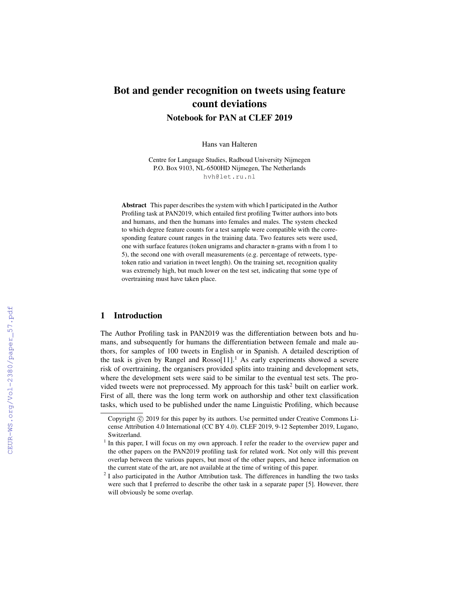# Bot and gender recognition on tweets using feature count deviations Notebook for PAN at CLEF 2019

Hans van Halteren

Centre for Language Studies, Radboud University Nijmegen P.O. Box 9103, NL-6500HD Nijmegen, The Netherlands hvh@let.ru.nl

Abstract This paper describes the system with which I participated in the Author Profiling task at PAN2019, which entailed first profiling Twitter authors into bots and humans, and then the humans into females and males. The system checked to which degree feature counts for a test sample were compatible with the corresponding feature count ranges in the training data. Two features sets were used, one with surface features (token unigrams and character n-grams with n from 1 to 5), the second one with overall measurements (e.g. percentage of retweets, typetoken ratio and variation in tweet length). On the training set, recognition quality was extremely high, but much lower on the test set, indicating that some type of overtraining must have taken place.

## 1 Introduction

The Author Profiling task in PAN2019 was the differentiation between bots and humans, and subsequently for humans the differentiation between female and male authors, for samples of 100 tweets in English or in Spanish. A detailed description of the task is given by Rangel and Rosso $[11]$ .<sup>1</sup> As early experiments showed a severe risk of overtraining, the organisers provided splits into training and development sets, where the development sets were said to be similar to the eventual test sets. The provided tweets were not preprocessed. My approach for this task<sup>2</sup> built on earlier work. First of all, there was the long term work on authorship and other text classification tasks, which used to be published under the name Linguistic Profiling, which because

Copyright  $\odot$  2019 for this paper by its authors. Use permitted under Creative Commons License Attribution 4.0 International (CC BY 4.0). CLEF 2019, 9-12 September 2019, Lugano, Switzerland.

<sup>&</sup>lt;sup>1</sup> In this paper, I will focus on my own approach. I refer the reader to the overview paper and the other papers on the PAN2019 profiling task for related work. Not only will this prevent overlap between the various papers, but most of the other papers, and hence information on the current state of the art, are not available at the time of writing of this paper.

 $2$  I also participated in the Author Attribution task. The differences in handling the two tasks were such that I preferred to describe the other task in a separate paper [5]. However, there will obviously be some overlap.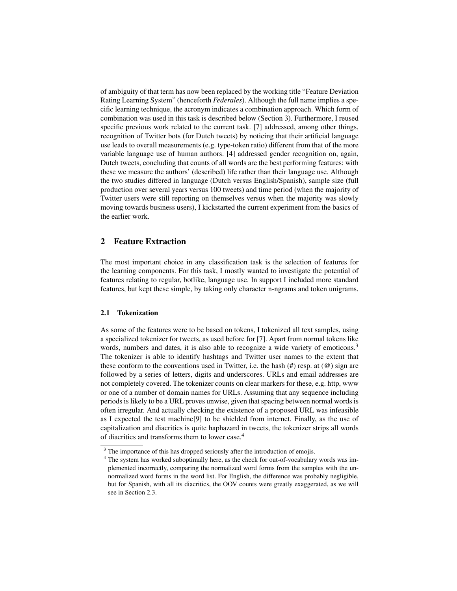of ambiguity of that term has now been replaced by the working title "Feature Deviation Rating Learning System" (henceforth *Federales*). Although the full name implies a specific learning technique, the acronym indicates a combination approach. Which form of combination was used in this task is described below (Section 3). Furthermore, I reused specific previous work related to the current task. [7] addressed, among other things, recognition of Twitter bots (for Dutch tweets) by noticing that their artificial language use leads to overall measurements (e.g. type-token ratio) different from that of the more variable language use of human authors. [4] addressed gender recognition on, again, Dutch tweets, concluding that counts of all words are the best performing features: with these we measure the authors' (described) life rather than their language use. Although the two studies differed in language (Dutch versus English/Spanish), sample size (full production over several years versus 100 tweets) and time period (when the majority of Twitter users were still reporting on themselves versus when the majority was slowly moving towards business users), I kickstarted the current experiment from the basics of the earlier work.

## 2 Feature Extraction

The most important choice in any classification task is the selection of features for the learning components. For this task, I mostly wanted to investigate the potential of features relating to regular, botlike, language use. In support I included more standard features, but kept these simple, by taking only character n-ngrams and token unigrams.

#### 2.1 Tokenization

As some of the features were to be based on tokens, I tokenized all text samples, using a specialized tokenizer for tweets, as used before for [7]. Apart from normal tokens like words, numbers and dates, it is also able to recognize a wide variety of emoticons.<sup>3</sup> The tokenizer is able to identify hashtags and Twitter user names to the extent that these conform to the conventions used in Twitter, i.e. the hash (#) resp. at (@) sign are followed by a series of letters, digits and underscores. URLs and email addresses are not completely covered. The tokenizer counts on clear markers for these, e.g. http, www or one of a number of domain names for URLs. Assuming that any sequence including periods is likely to be a URL proves unwise, given that spacing between normal words is often irregular. And actually checking the existence of a proposed URL was infeasible as I expected the test machine[9] to be shielded from internet. Finally, as the use of capitalization and diacritics is quite haphazard in tweets, the tokenizer strips all words of diacritics and transforms them to lower case.<sup>4</sup>

<sup>&</sup>lt;sup>3</sup> The importance of this has dropped seriously after the introduction of emojis.

<sup>&</sup>lt;sup>4</sup> The system has worked suboptimally here, as the check for out-of-vocabulary words was implemented incorrectly, comparing the normalized word forms from the samples with the unnormalized word forms in the word list. For English, the difference was probably negligible, but for Spanish, with all its diacritics, the OOV counts were greatly exaggerated, as we will see in Section 2.3.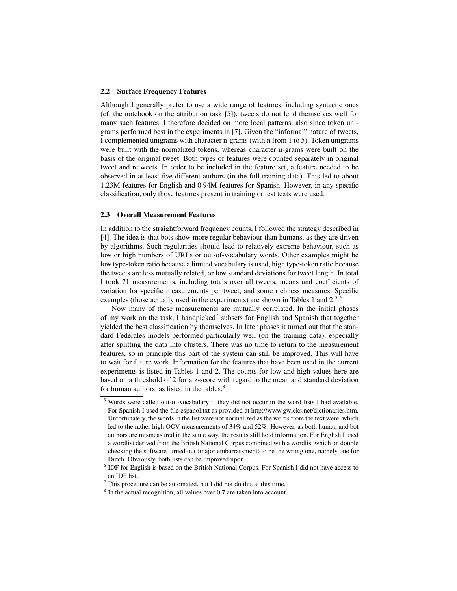#### 2.2 Surface Frequency Features

Although I generally prefer to use a wide range of features, including syntactic ones (cf. the notebook on the attribution task [5]), tweets do not lend themselves well for many such features. I therefore decided on more local patterns, also since token unigrams performed best in the experiments in [7]. Given the "informal" nature of tweets, I complemented unigrams with character n-grams (with n from 1 to 5). Token unigrams were built with the normalized tokens, whereas character n-grams were built on the basis of the original tweet. Both types of features were counted separately in original tweet and retweets. In order to be included in the feature set, a feature needed to be observed in at least five different authors (in the full training data). This led to about 1.23M features for English and 0.94M features for Spanish. However, in any specific classification, only those features present in training or test texts were used.

#### 2.3 Overall Measurement Features

In addition to the straightforward frequency counts, I followed the strategy described in [4]. The idea is that bots show more regular behaviour than humans, as they are driven by algorithms. Such regularities should lead to relatively extreme behaviour, such as low or high numbers of URLs or out-of-vocabulary words. Other examples might be low type-token ratio because a limited vocabulary is used, high type-token ratio because the tweets are less mutually related, or low standard deviations for tweet length. In total I took 71 measurements, including totals over all tweets, means and coefficients of variation for specific measurements per tweet, and some richness measures. Specific examples (those actually used in the experiments) are shown in Tables 1 and 2.<sup>5 6</sup>

Now many of these measurements are mutually correlated. In the initial phases of my work on the task, I handpicked<sup>7</sup> subsets for English and Spanish that together yielded the best classification by themselves. In later phases it turned out that the standard Federales models performed particularly well (on the training data), especially after splitting the data into clusters. There was no time to return to the measurement features, so in principle this part of the system can still be improved. This will have to wait for future work. Information for the features that have been used in the current experiments is listed in Tables 1 and 2. The counts for low and high values here are based on a threshold of 2 for a z-score with regard to the mean and standard deviation for human authors, as listed in the tables.<sup>8</sup>

<sup>5</sup> Words were called out-of-vocabulary if they did not occur in the word lists I had available. For Spanish I used the file espanol.txt as provided at http://www.gwicks.net/dictionaries.htm. Unfortunately, the words in the list were not normalized as the words from the text were, which led to the rather high OOV measurements of 34% and 52%. However, as both human and bot authors are mismeasured in the same way, the results still hold information. For English I used a wordlist derived from the British National Corpus combined with a wordlist which on double checking the software turned out (major embarrassment) to be the wrong one, namely one for Dutch. Obviously, both lists can be improved upon.

<sup>&</sup>lt;sup>6</sup> IDF for English is based on the British National Corpus. For Spanish I did not have access to an IDF list.

 $7$  This procedure can be automated, but I did not do this at this time.

<sup>&</sup>lt;sup>8</sup> In the actual recognition, all values over 0.7 are taken into account.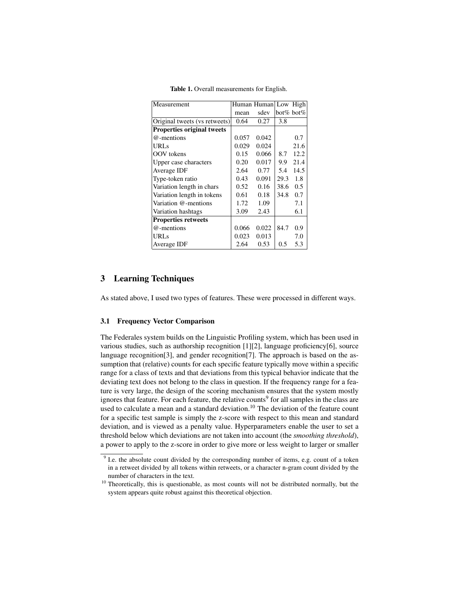| Measurement                       |       | Human Human Low |           | High          |
|-----------------------------------|-------|-----------------|-----------|---------------|
|                                   | mean  | sdev            | bot% bot% |               |
| Original tweets (vs retweets)     | 0.64  | 0.27            | 3.8       |               |
| <b>Properties original tweets</b> |       |                 |           |               |
| @-mentions                        | 0.057 | 0.042           |           | 0.7           |
| <b>URLs</b>                       | 0.029 | 0.024           |           | 21.6          |
| OOV tokens                        | 0.15  | 0.066           | 8.7       | 12.2          |
| Upper case characters             | 0.20  | 0.017           | 9.9       | 21.4          |
| Average IDF                       | 2.64  | 0.77            | 5.4       | 14.5          |
| Type-token ratio                  | 0.43  | 0.091           | 29.3      | 1.8           |
| Variation length in chars         | 0.52  | 0.16            | 38.6      | $0.5^{\circ}$ |
| Variation length in tokens        | 0.61  | 0.18            | 34.8      | 0.7           |
| Variation @-mentions              | 1.72  | 1.09            |           | 7.1           |
| Variation hashtags                | 3.09  | 2.43            |           | 6.1           |
| <b>Properties retweets</b>        |       |                 |           |               |
| @-mentions                        | 0.066 | 0.022           | 84.7      | 0.9           |
| URL <sub>s</sub>                  | 0.023 | 0.013           |           | 7.0           |
| Average IDF                       | 2.64  | 0.53            | 0.5       | 5.3           |

Table 1. Overall measurements for English.

## 3 Learning Techniques

As stated above, I used two types of features. These were processed in different ways.

#### 3.1 Frequency Vector Comparison

The Federales system builds on the Linguistic Profiling system, which has been used in various studies, such as authorship recognition  $[1][2]$ , language proficiency $[6]$ , source language recognition[3], and gender recognition[7]. The approach is based on the assumption that (relative) counts for each specific feature typically move within a specific range for a class of texts and that deviations from this typical behavior indicate that the deviating text does not belong to the class in question. If the frequency range for a feature is very large, the design of the scoring mechanism ensures that the system mostly ignores that feature. For each feature, the relative counts<sup>9</sup> for all samples in the class are used to calculate a mean and a standard deviation.<sup>10</sup> The deviation of the feature count for a specific test sample is simply the z-score with respect to this mean and standard deviation, and is viewed as a penalty value. Hyperparameters enable the user to set a threshold below which deviations are not taken into account (the *smoothing threshold*), a power to apply to the z-score in order to give more or less weight to larger or smaller

<sup>&</sup>lt;sup>9</sup> I.e. the absolute count divided by the corresponding number of items, e.g. count of a token in a retweet divided by all tokens within retweets, or a character n-gram count divided by the number of characters in the text.

<sup>&</sup>lt;sup>10</sup> Theoretically, this is questionable, as most counts will not be distributed normally, but the system appears quite robust against this theoretical objection.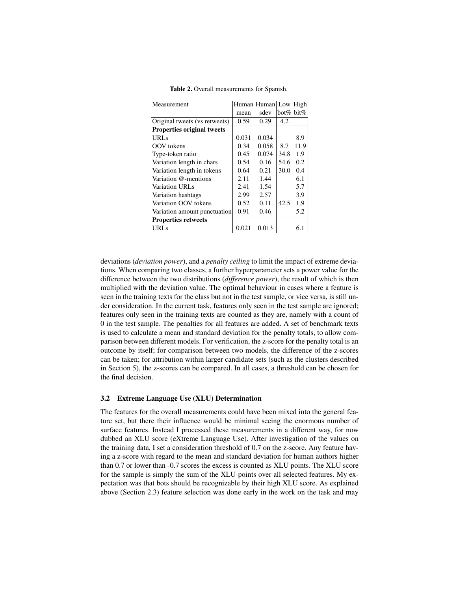| Measurement                       |       | Human Human Low High |           |      |
|-----------------------------------|-------|----------------------|-----------|------|
|                                   | mean  | sdev                 | bot% bit% |      |
| Original tweets (vs retweets)     | 0.59  | 0.29                 | 4.2       |      |
| <b>Properties original tweets</b> |       |                      |           |      |
| URL <sub>s</sub>                  | 0.031 | 0.034                |           | 8.9  |
| OOV tokens                        | 0.34  | 0.058                | 8.7       | 11.9 |
| Type-token ratio                  | 0.45  | 0.074                | 34.8      | 1.9  |
| Variation length in chars         | 0.54  | 0.16                 | 54.6      | 0.2  |
| Variation length in tokens        | 0.64  | 0.21                 | 30.0      | 0.4  |
| Variation @-mentions              | 2.11  | 1.44                 |           | 6.1  |
| Variation URLs                    | 2.41  | 1.54                 |           | 5.7  |
| Variation hashtags                | 2.99  | 2.57                 |           | 3.9  |
| Variation OOV tokens              | 0.52  | 0.11                 | 42.5      | 1.9  |
| Variation amount punctuation      | 0.91  | 0.46                 |           | 5.2  |
| <b>Properties retweets</b>        |       |                      |           |      |
| <b>URLs</b>                       | 0.021 | 0.013                |           | 6.1  |

Table 2. Overall measurements for Spanish.

deviations (*deviation power*), and a *penalty ceiling* to limit the impact of extreme deviations. When comparing two classes, a further hyperparameter sets a power value for the difference between the two distributions (*difference power*), the result of which is then multiplied with the deviation value. The optimal behaviour in cases where a feature is seen in the training texts for the class but not in the test sample, or vice versa, is still under consideration. In the current task, features only seen in the test sample are ignored; features only seen in the training texts are counted as they are, namely with a count of 0 in the test sample. The penalties for all features are added. A set of benchmark texts is used to calculate a mean and standard deviation for the penalty totals, to allow comparison between different models. For verification, the z-score for the penalty total is an outcome by itself; for comparison between two models, the difference of the z-scores can be taken; for attribution within larger candidate sets (such as the clusters described in Section 5), the z-scores can be compared. In all cases, a threshold can be chosen for the final decision.

#### 3.2 Extreme Language Use (XLU) Determination

The features for the overall measurements could have been mixed into the general feature set, but there their influence would be minimal seeing the enormous number of surface features. Instead I processed these measurements in a different way, for now dubbed an XLU score (eXtreme Language Use). After investigation of the values on the training data, I set a consideration threshold of 0.7 on the z-score. Any feature having a z-score with regard to the mean and standard deviation for human authors higher than 0.7 or lower than -0.7 scores the excess is counted as XLU points. The XLU score for the sample is simply the sum of the XLU points over all selected features. My expectation was that bots should be recognizable by their high XLU score. As explained above (Section 2.3) feature selection was done early in the work on the task and may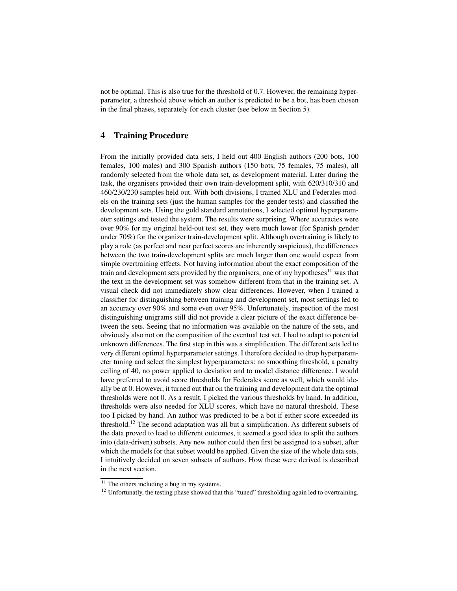not be optimal. This is also true for the threshold of 0.7. However, the remaining hyperparameter, a threshold above which an author is predicted to be a bot, has been chosen in the final phases, separately for each cluster (see below in Section 5).

## 4 Training Procedure

From the initially provided data sets, I held out 400 English authors (200 bots, 100 females, 100 males) and 300 Spanish authors (150 bots, 75 females, 75 males), all randomly selected from the whole data set, as development material. Later during the task, the organisers provided their own train-development split, with 620/310/310 and 460/230/230 samples held out. With both divisions, I trained XLU and Federales models on the training sets (just the human samples for the gender tests) and classified the development sets. Using the gold standard annotations, I selected optimal hyperparameter settings and tested the system. The results were surprising. Where accuracies were over 90% for my original held-out test set, they were much lower (for Spanish gender under 70%) for the organizer train-development split. Although overtraining is likely to play a role (as perfect and near perfect scores are inherently suspicious), the differences between the two train-development splits are much larger than one would expect from simple overtraining effects. Not having information about the exact composition of the train and development sets provided by the organisers, one of my hypotheses<sup>11</sup> was that the text in the development set was somehow different from that in the training set. A visual check did not immediately show clear differences. However, when I trained a classifier for distinguishing between training and development set, most settings led to an accuracy over 90% and some even over 95%. Unfortunately, inspection of the most distinguishing unigrams still did not provide a clear picture of the exact difference between the sets. Seeing that no information was available on the nature of the sets, and obviously also not on the composition of the eventual test set, I had to adapt to potential unknown differences. The first step in this was a simplification. The different sets led to very different optimal hyperparameter settings. I therefore decided to drop hyperparameter tuning and select the simplest hyperparameters: no smoothing threshold, a penalty ceiling of 40, no power applied to deviation and to model distance difference. I would have preferred to avoid score thresholds for Federales score as well, which would ideally be at 0. However, it turned out that on the training and development data the optimal thresholds were not 0. As a result, I picked the various thresholds by hand. In addition, thresholds were also needed for XLU scores, which have no natural threshold. These too I picked by hand. An author was predicted to be a bot if either score exceeded its threshold.<sup>12</sup> The second adaptation was all but a simplification. As different subsets of the data proved to lead to different outcomes, it seemed a good idea to split the authors into (data-driven) subsets. Any new author could then first be assigned to a subset, after which the models for that subset would be applied. Given the size of the whole data sets, I intuitively decided on seven subsets of authors. How these were derived is described in the next section.

 $11$  The others including a bug in my systems.

<sup>&</sup>lt;sup>12</sup> Unfortunatly, the testing phase showed that this "tuned" thresholding again led to overtraining.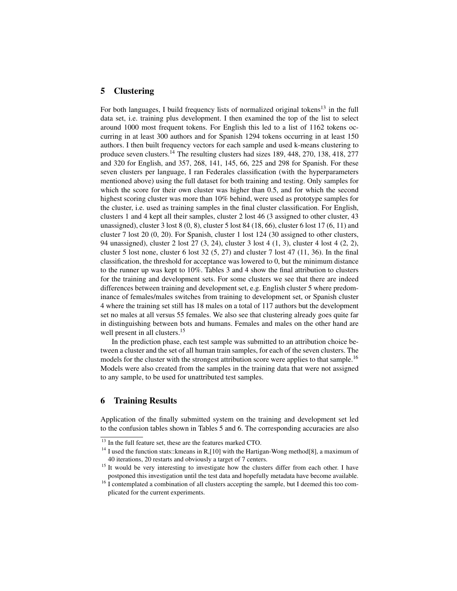## 5 Clustering

For both languages, I build frequency lists of normalized original tokens<sup>13</sup> in the full data set, i.e. training plus development. I then examined the top of the list to select around 1000 most frequent tokens. For English this led to a list of 1162 tokens occurring in at least 300 authors and for Spanish 1294 tokens occurring in at least 150 authors. I then built frequency vectors for each sample and used k-means clustering to produce seven clusters.<sup>14</sup> The resulting clusters had sizes 189, 448, 270, 138, 418, 277 and 320 for English, and 357, 268, 141, 145, 66, 225 and 298 for Spanish. For these seven clusters per language, I ran Federales classification (with the hyperparameters mentioned above) using the full dataset for both training and testing. Only samples for which the score for their own cluster was higher than 0.5, and for which the second highest scoring cluster was more than 10% behind, were used as prototype samples for the cluster, i.e. used as training samples in the final cluster classification. For English, clusters 1 and 4 kept all their samples, cluster 2 lost 46 (3 assigned to other cluster, 43 unassigned), cluster 3 lost 8 (0, 8), cluster 5 lost 84 (18, 66), cluster 6 lost 17 (6, 11) and cluster 7 lost 20 (0, 20). For Spanish, cluster 1 lost 124 (30 assigned to other clusters, 94 unassigned), cluster 2 lost 27 (3, 24), cluster 3 lost 4 (1, 3), cluster 4 lost 4 (2, 2), cluster 5 lost none, cluster 6 lost 32  $(5, 27)$  and cluster 7 lost 47  $(11, 36)$ . In the final classification, the threshold for acceptance was lowered to 0, but the minimum distance to the runner up was kept to 10%. Tables 3 and 4 show the final attribution to clusters for the training and development sets. For some clusters we see that there are indeed differences between training and development set, e.g. English cluster 5 where predominance of females/males switches from training to development set, or Spanish cluster 4 where the training set still has 18 males on a total of 117 authors but the development set no males at all versus 55 females. We also see that clustering already goes quite far in distinguishing between bots and humans. Females and males on the other hand are well present in all clusters.<sup>15</sup>

In the prediction phase, each test sample was submitted to an attribution choice between a cluster and the set of all human train samples, for each of the seven clusters. The models for the cluster with the strongest attribution score were applies to that sample.<sup>16</sup> Models were also created from the samples in the training data that were not assigned to any sample, to be used for unattributed test samples.

## 6 Training Results

Application of the finally submitted system on the training and development set led to the confusion tables shown in Tables 5 and 6. The corresponding accuracies are also

<sup>&</sup>lt;sup>13</sup> In the full feature set, these are the features marked CTO.

<sup>&</sup>lt;sup>14</sup> I used the function stats::kmeans in R,[10] with the Hartigan-Wong method[8], a maximum of 40 iterations, 20 restarts and obviously a target of 7 centers.

<sup>&</sup>lt;sup>15</sup> It would be very interesting to investigate how the clusters differ from each other. I have postponed this investigation until the test data and hopefully metadata have become available.

 $16$  I contemplated a combination of all clusters accepting the sample, but I deemed this too complicated for the current experiments.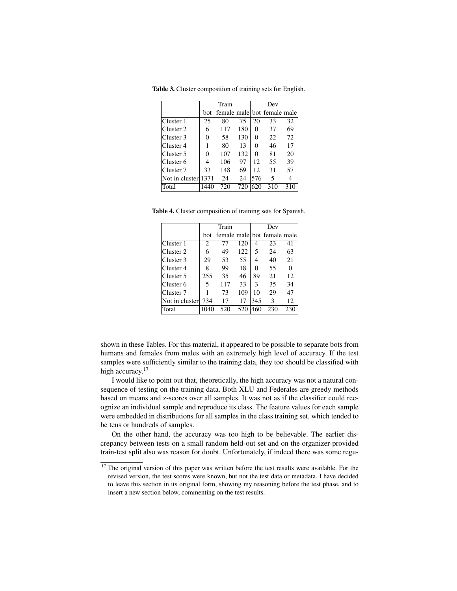|                     |      | Train                           |     |     | Dev |     |
|---------------------|------|---------------------------------|-----|-----|-----|-----|
|                     |      | bot female male bot female male |     |     |     |     |
| Cluster 1           | 25   | 80                              | 75  | 20  | 33  | 32  |
| Cluster 2           | 6    | 117                             | 180 | 0   | 37  | 69  |
| Cluster 3           | 0    | 58                              | 130 | 0   | 22  | 72  |
| Cluster 4           |      | 80                              | 13  | 0   | 46  | 17  |
| Cluster 5           | 0    | 107                             | 132 | 0   | 81  | 20  |
| Cluster 6           | 4    | 106                             | 97  | 12  | 55  | 39  |
| Cluster 7           | 33   | 148                             | 69  | 12  | 31  | 57  |
| Not in cluster 1371 |      | 24                              | 24  | 576 | 5   | 4   |
| Total               | 1440 | 720                             | 720 | 620 | 310 | 310 |

Table 3. Cluster composition of training sets for English.

Table 4. Cluster composition of training sets for Spanish.

|                |            | Train |     |     | Dev                         |          |
|----------------|------------|-------|-----|-----|-----------------------------|----------|
|                | <b>bot</b> |       |     |     | female male bot female male |          |
| Cluster 1      | 2          | 77    | 120 | 4   | 23                          | 41       |
| Cluster 2      | 6          | 49    | 122 | 5   | 24                          | 63       |
| Cluster 3      | 29         | 53    | 55  | 4   | 40                          | 21       |
| Cluster 4      | 8          | 99    | 18  | 0   | 55                          | $\Omega$ |
| Cluster 5      | 255        | 35    | 46  | 89  | 21                          | 12       |
| Cluster 6      | 5          | 117   | 33  | 3   | 35                          | 34       |
| Cluster 7      |            | 73    | 109 | 10  | 29                          | 47       |
| Not in cluster | 734        | 17    | 17  | 345 | 3                           | 12       |
| Total          |            | 520   | 520 | 460 | 230                         | 230      |

shown in these Tables. For this material, it appeared to be possible to separate bots from humans and females from males with an extremely high level of accuracy. If the test samples were sufficiently similar to the training data, they too should be classified with high accuracy.<sup>17</sup>

I would like to point out that, theoretically, the high accuracy was not a natural consequence of testing on the training data. Both XLU and Federales are greedy methods based on means and z-scores over all samples. It was not as if the classifier could recognize an individual sample and reproduce its class. The feature values for each sample were embedded in distributions for all samples in the class training set, which tended to be tens or hundreds of samples.

On the other hand, the accuracy was too high to be believable. The earlier discrepancy between tests on a small random held-out set and on the organizer-provided train-test split also was reason for doubt. Unfortunately, if indeed there was some regu-

<sup>&</sup>lt;sup>17</sup> The original version of this paper was written before the test results were available. For the revised version, the test scores were known, but not the test data or metadata. I have decided to leave this section in its original form, showing my reasoning before the test phase, and to insert a new section below, commenting on the test results.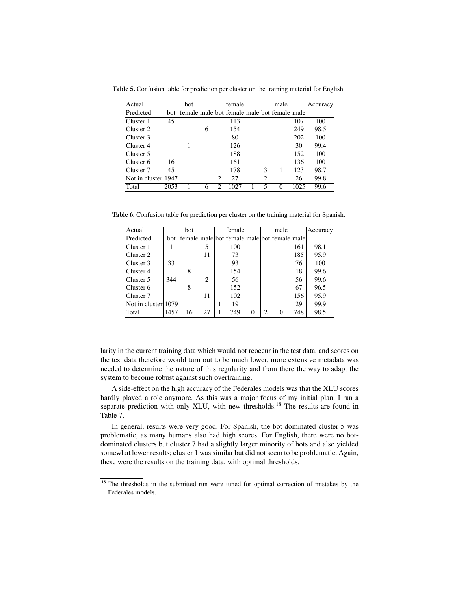| Actual              |      | bot                                             |   |                | female |                | male |      | Accuracy |
|---------------------|------|-------------------------------------------------|---|----------------|--------|----------------|------|------|----------|
| Predicted           |      | bot female male bot female male bot female male |   |                |        |                |      |      |          |
| Cluster 1           | 45   |                                                 |   |                | 113    |                |      | 107  | 100      |
| Cluster 2           |      |                                                 | 6 |                | 154    |                |      | 249  | 98.5     |
| Cluster 3           |      |                                                 |   |                | 80     |                |      | 202  | 100      |
| Cluster 4           |      |                                                 |   |                | 126    |                |      | 30   | 99.4     |
| Cluster 5           |      |                                                 |   |                | 188    |                |      | 152  | 100      |
| Cluster 6           | 16   |                                                 |   |                | 161    |                |      | 136  | 100      |
| Cluster 7           | 45   |                                                 |   |                | 178    | 3              |      | 123  | 98.7     |
| Not in cluster 1947 |      |                                                 |   | $\mathfrak{D}$ | 27     | $\mathfrak{D}$ |      | 26   | 99.8     |
| Total               | 2053 |                                                 | 6 | 2              | 1027   | 5              | 0    | 1025 | 99.6     |

Table 5. Confusion table for prediction per cluster on the training material for English.

Table 6. Confusion table for prediction per cluster on the training material for Spanish.

| Actual              |      | bot                                             |    | female |   |   | male |     | Accuracy |
|---------------------|------|-------------------------------------------------|----|--------|---|---|------|-----|----------|
| Predicted           |      | bot female male bot female male bot female male |    |        |   |   |      |     |          |
| Cluster 1           |      |                                                 | 5  | 100    |   |   |      | 161 | 98.1     |
| Cluster 2           |      |                                                 | 11 | 73     |   |   |      | 185 | 95.9     |
| Cluster 3           | 33   |                                                 |    | 93     |   |   |      | 76  | 100      |
| Cluster 4           |      | 8                                               |    | 154    |   |   |      | 18  | 99.6     |
| Cluster 5           | 344  |                                                 | 2  | 56     |   |   |      | 56  | 99.6     |
| Cluster 6           |      | 8                                               |    | 152    |   |   |      | 67  | 96.5     |
| Cluster 7           |      |                                                 | 11 | 102    |   |   |      | 156 | 95.9     |
| Not in cluster 1079 |      |                                                 |    | 19     |   |   |      | 29  | 99.9     |
| Total               | 1457 | 16                                              | 27 | 749    | 0 | っ | 0    | 748 | 98.5     |

larity in the current training data which would not reoccur in the test data, and scores on the test data therefore would turn out to be much lower, more extensive metadata was needed to determine the nature of this regularity and from there the way to adapt the system to become robust against such overtraining.

A side-effect on the high accuracy of the Federales models was that the XLU scores hardly played a role anymore. As this was a major focus of my initial plan, I ran a separate prediction with only XLU, with new thresholds.<sup>18</sup> The results are found in Table 7.

In general, results were very good. For Spanish, the bot-dominated cluster 5 was problematic, as many humans also had high scores. For English, there were no botdominated clusters but cluster 7 had a slightly larger minority of bots and also yielded somewhat lower results; cluster 1 was similar but did not seem to be problematic. Again, these were the results on the training data, with optimal thresholds.

 $\frac{18}{18}$  The thresholds in the submitted run were tuned for optimal correction of mistakes by the Federales models.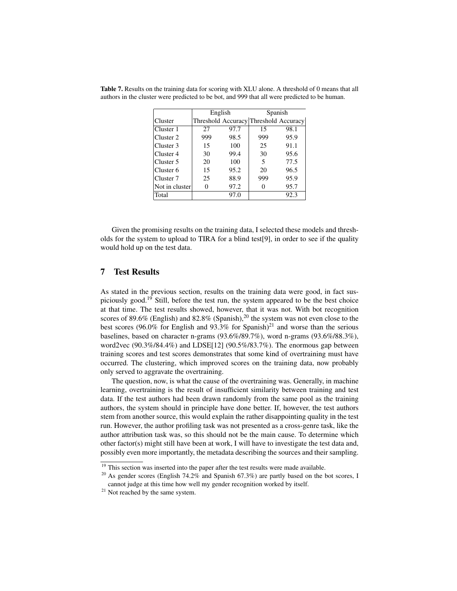|                      | English |      | Spanish                               |      |
|----------------------|---------|------|---------------------------------------|------|
| Cluster              |         |      | Threshold Accuracy Threshold Accuracy |      |
| Cluster 1            | 27      | 97.7 | 15                                    | 98.1 |
| Cluster 2            | 999     | 98.5 | 999                                   | 95.9 |
| Cluster 3            | 15      | 100  | 25                                    | 91.1 |
| Cluster 4            | 30      | 99.4 | 30                                    | 95.6 |
| Cluster 5            | 20      | 100  | 5                                     | 77.5 |
| Cluster 6            | 15      | 95.2 | 20                                    | 96.5 |
| Cluster <sub>7</sub> | 25      | 88.9 | 999                                   | 95.9 |
| Not in cluster       |         | 97.2 |                                       | 95.7 |
| Total                |         | 97.0 |                                       | 92.3 |

Table 7. Results on the training data for scoring with XLU alone. A threshold of 0 means that all authors in the cluster were predicted to be bot, and 999 that all were predicted to be human.

Given the promising results on the training data, I selected these models and thresholds for the system to upload to TIRA for a blind test[9], in order to see if the quality would hold up on the test data.

# 7 Test Results

As stated in the previous section, results on the training data were good, in fact suspiciously good.<sup>19</sup> Still, before the test run, the system appeared to be the best choice at that time. The test results showed, however, that it was not. With bot recognition scores of 89.6% (English) and 82.8% (Spanish),<sup>20</sup> the system was not even close to the best scores (96.0% for English and 93.3% for Spanish)<sup>21</sup> and worse than the serious baselines, based on character n-grams (93.6%/89.7%), word n-grams (93.6%/88.3%), word2vec (90.3%/84.4%) and LDSE[12] (90.5%/83.7%). The enormous gap between training scores and test scores demonstrates that some kind of overtraining must have occurred. The clustering, which improved scores on the training data, now probably only served to aggravate the overtraining.

The question, now, is what the cause of the overtraining was. Generally, in machine learning, overtraining is the result of insufficient similarity between training and test data. If the test authors had been drawn randomly from the same pool as the training authors, the system should in principle have done better. If, however, the test authors stem from another source, this would explain the rather disappointing quality in the test run. However, the author profiling task was not presented as a cross-genre task, like the author attribution task was, so this should not be the main cause. To determine which other factor(s) might still have been at work, I will have to investigate the test data and, possibly even more importantly, the metadata describing the sources and their sampling.

<sup>&</sup>lt;sup>19</sup> This section was inserted into the paper after the test results were made available.

<sup>&</sup>lt;sup>20</sup> As gender scores (English 74.2% and Spanish 67.3%) are partly based on the bot scores, I cannot judge at this time how well my gender recognition worked by itself.

<sup>&</sup>lt;sup>21</sup> Not reached by the same system.